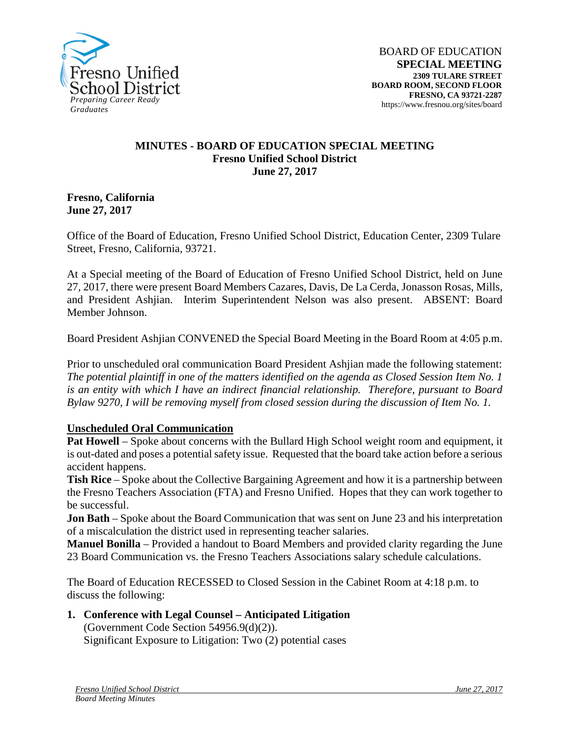

## **MINUTES - BOARD OF EDUCATION SPECIAL MEETING Fresno Unified School District June 27, 2017**

#### **Fresno, California June 27, 2017**

Office of the Board of Education, Fresno Unified School District, Education Center, 2309 Tulare Street, Fresno, California, 93721.

At a Special meeting of the Board of Education of Fresno Unified School District, held on June 27, 2017, there were present Board Members Cazares, Davis, De La Cerda, Jonasson Rosas, Mills, and President Ashjian. Interim Superintendent Nelson was also present. ABSENT: Board Member Johnson.

Board President Ashjian CONVENED the Special Board Meeting in the Board Room at 4:05 p.m.

Prior to unscheduled oral communication Board President Ashjian made the following statement: *The potential plaintiff in one of the matters identified on the agenda as Closed Session Item No. 1 is an entity with which I have an indirect financial relationship. Therefore, pursuant to Board Bylaw 9270, I will be removing myself from closed session during the discussion of Item No. 1.*

## **Unscheduled Oral Communication**

**Pat Howell** – Spoke about concerns with the Bullard High School weight room and equipment, it is out-dated and poses a potential safety issue. Requested that the board take action before a serious accident happens.

**Tish Rice** – Spoke about the Collective Bargaining Agreement and how it is a partnership between the Fresno Teachers Association (FTA) and Fresno Unified. Hopes that they can work together to be successful.

**Jon Bath** – Spoke about the Board Communication that was sent on June 23 and his interpretation of a miscalculation the district used in representing teacher salaries.

**Manuel Bonilla** – Provided a handout to Board Members and provided clarity regarding the June 23 Board Communication vs. the Fresno Teachers Associations salary schedule calculations.

The Board of Education RECESSED to Closed Session in the Cabinet Room at 4:18 p.m. to discuss the following:

# **1. Conference with Legal Counsel – Anticipated Litigation**

(Government Code Section 54956.9(d)(2)). Significant Exposure to Litigation: Two (2) potential cases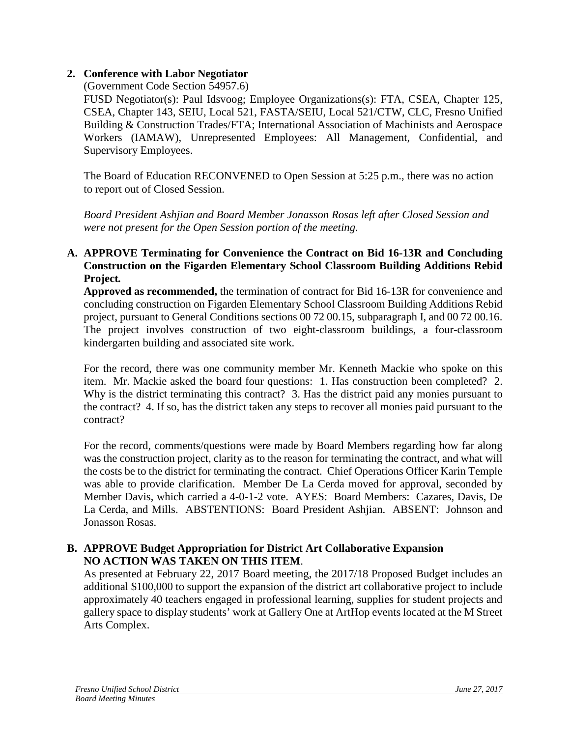## **2. Conference with Labor Negotiator**

(Government Code Section 54957.6)

FUSD Negotiator(s): Paul Idsvoog; Employee Organizations(s): FTA, CSEA, Chapter 125, CSEA, Chapter 143, SEIU, Local 521, FASTA/SEIU, Local 521/CTW, CLC, Fresno Unified Building & Construction Trades/FTA; International Association of Machinists and Aerospace Workers (IAMAW), Unrepresented Employees: All Management, Confidential, and Supervisory Employees.

The Board of Education RECONVENED to Open Session at 5:25 p.m., there was no action to report out of Closed Session.

*Board President Ashjian and Board Member Jonasson Rosas left after Closed Session and were not present for the Open Session portion of the meeting.*

## **A. APPROVE Terminating for Convenience the Contract on Bid 16-13R and Concluding Construction on the Figarden Elementary School Classroom Building Additions Rebid Project***.*

**Approved as recommended,** the termination of contract for Bid 16-13R for convenience and concluding construction on Figarden Elementary School Classroom Building Additions Rebid project, pursuant to General Conditions sections 00 72 00.15, subparagraph I, and 00 72 00.16. The project involves construction of two eight-classroom buildings, a four-classroom kindergarten building and associated site work.

For the record, there was one community member Mr. Kenneth Mackie who spoke on this item. Mr. Mackie asked the board four questions: 1. Has construction been completed? 2. Why is the district terminating this contract? 3. Has the district paid any monies pursuant to the contract? 4. If so, has the district taken any steps to recover all monies paid pursuant to the contract?

For the record, comments/questions were made by Board Members regarding how far along was the construction project, clarity as to the reason for terminating the contract, and what will the costs be to the district for terminating the contract. Chief Operations Officer Karin Temple was able to provide clarification. Member De La Cerda moved for approval, seconded by Member Davis, which carried a 4-0-1-2 vote. AYES: Board Members: Cazares, Davis, De La Cerda, and Mills. ABSTENTIONS: Board President Ashjian. ABSENT: Johnson and Jonasson Rosas.

## **B. APPROVE Budget Appropriation for District Art Collaborative Expansion NO ACTION WAS TAKEN ON THIS ITEM**.

As presented at February 22, 2017 Board meeting, the 2017/18 Proposed Budget includes an additional \$100,000 to support the expansion of the district art collaborative project to include approximately 40 teachers engaged in professional learning, supplies for student projects and gallery space to display students' work at Gallery One at ArtHop events located at the M Street Arts Complex.